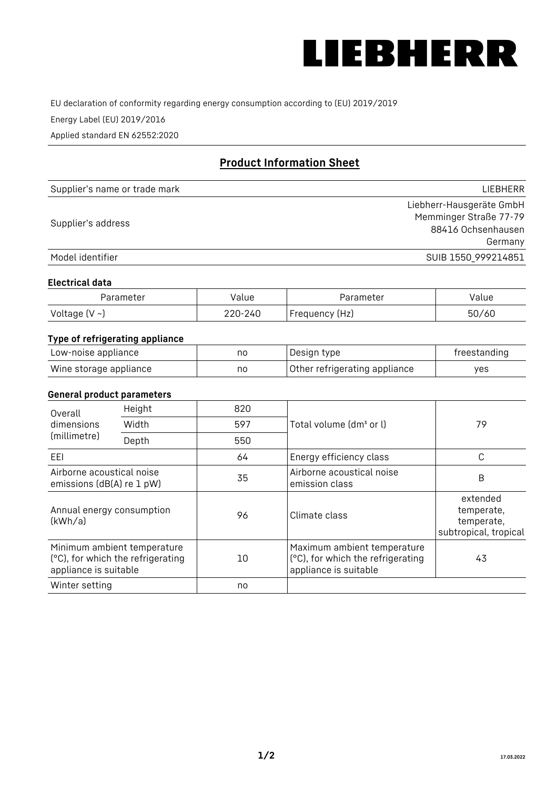

EU declaration of conformity regarding energy consumption according to (EU) 2019/2019

Energy Label (EU) 2019/2016

Applied standard EN 62552:2020

# **Product Information Sheet**

| Supplier's name or trade mark | <b>LIFBHFRR</b>          |
|-------------------------------|--------------------------|
|                               | Liebherr-Hausgeräte GmbH |
|                               | Memminger Straße 77-79   |
| Supplier's address            | 88416 Ochsenhausen       |
|                               | Germany                  |
| Model identifier              | SUIB 1550_999214851      |

### **Electrical data**

| Parameter          | Value   | Parameter      | Value |
|--------------------|---------|----------------|-------|
| Voltage $(V \sim)$ | 220-240 | Frequency (Hz) | 50/60 |

## **Type of refrigerating appliance**

| Low-noise appliance    | nc | Design type                   | freestanding |
|------------------------|----|-------------------------------|--------------|
| Wine storage appliance | nc | Other refrigerating appliance | ves          |

## **General product parameters**

| Height<br>Overall                                      |                                                                  | 820 |                                                                                           |                                                               |
|--------------------------------------------------------|------------------------------------------------------------------|-----|-------------------------------------------------------------------------------------------|---------------------------------------------------------------|
| dimensions<br>(millimetre)                             | Width                                                            | 597 | Total volume (dm <sup>3</sup> or l)                                                       | 79                                                            |
|                                                        | Depth                                                            | 550 |                                                                                           |                                                               |
| EEL                                                    |                                                                  | 64  | Energy efficiency class                                                                   | C                                                             |
| Airborne acoustical noise<br>emissions (dB(A) re 1 pW) |                                                                  | 35  | Airborne acoustical noise<br>emission class                                               | B                                                             |
| Annual energy consumption<br>(kWh/a)                   |                                                                  | 96  | Climate class                                                                             | extended<br>temperate,<br>temperate,<br>subtropical, tropical |
| appliance is suitable                                  | Minimum ambient temperature<br>(°C), for which the refrigerating | 10  | Maximum ambient temperature<br>(°C), for which the refrigerating<br>appliance is suitable | 43                                                            |
| Winter setting                                         |                                                                  | no  |                                                                                           |                                                               |